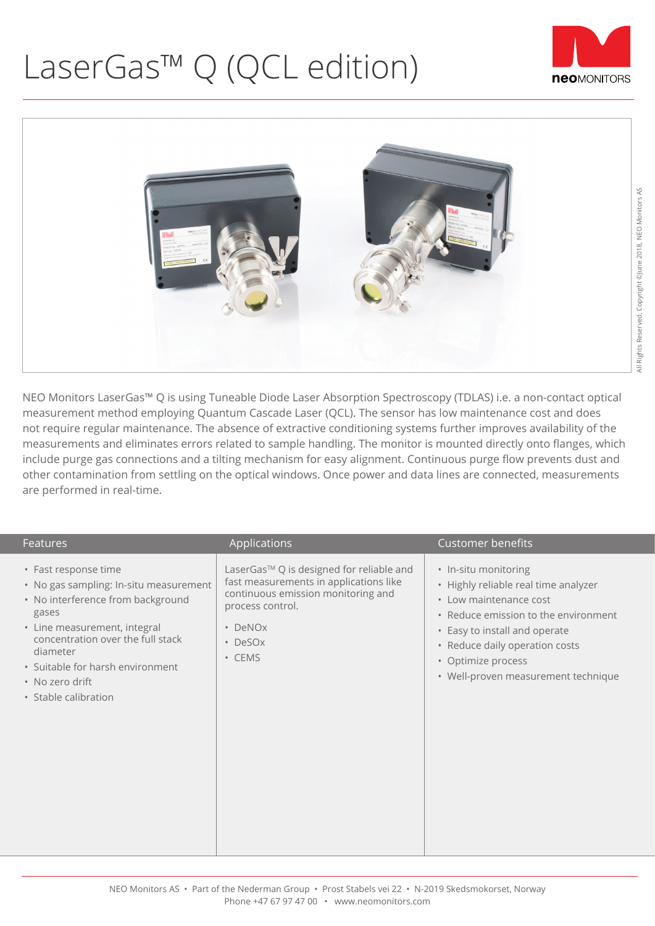## LaserGas™ Q (QCL edition)





NEO Monitors LaserGas™ Q is using Tuneable Diode Laser Absorption Spectroscopy (TDLAS) i.e. a non-contact optical measurement method employing Quantum Cascade Laser (QCL). The sensor has low maintenance cost and does not require regular maintenance. The absence of extractive conditioning systems further improves availability of the measurements and eliminates errors related to sample handling. The monitor is mounted directly onto flanges, which include purge gas connections and a tilting mechanism for easy alignment. Continuous purge flow prevents dust and other contamination from settling on the optical windows. Once power and data lines are connected, measurements are performed in real-time.

| <b>Features</b>                                                                                                                                                                                                                                                              | Applications                                                                                                                                                                            | <b>Customer benefits</b>                                                                                                                                                                                                                                       |
|------------------------------------------------------------------------------------------------------------------------------------------------------------------------------------------------------------------------------------------------------------------------------|-----------------------------------------------------------------------------------------------------------------------------------------------------------------------------------------|----------------------------------------------------------------------------------------------------------------------------------------------------------------------------------------------------------------------------------------------------------------|
| • Fast response time<br>• No gas sampling: In-situ measurement<br>• No interference from background<br>gases<br>• Line measurement, integral<br>concentration over the full stack<br>diameter<br>• Suitable for harsh environment<br>• No zero drift<br>• Stable calibration | LaserGas™ Q is designed for reliable and<br>fast measurements in applications like<br>continuous emission monitoring and<br>process control.<br>DeNOx<br>$\bullet$<br>• DeSOx<br>• CEMS | • In-situ monitoring<br>• Highly reliable real time analyzer<br>• Low maintenance cost<br>• Reduce emission to the environment<br>• Easy to install and operate<br>• Reduce daily operation costs<br>• Optimize process<br>• Well-proven measurement technique |